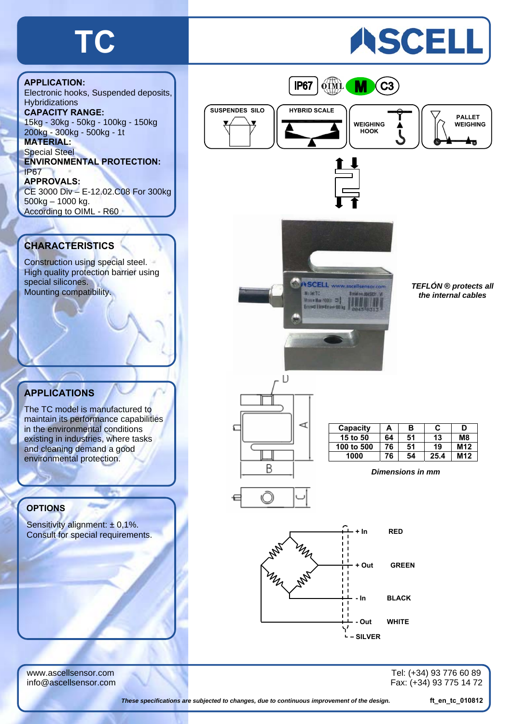## **TC**

# ASCELL



Electronic hooks, Suspended deposits, **Hybridizations CAPACITY RANGE:**  15kg - 30kg - 50kg - 100kg - 150kg 200kg - 300kg - 500kg - 1t **MATERIAL:**  Special Steel **ENVIRONMENTAL PROTECTION:**  IP67 **APPROVALS:**  CE 3000 Div – E-12.02.C08 For 300kg 500kg – 1000 kg. According to OIML - R60

#### **CHARACTERISTICS**

Construction using special steel. High quality protection barrier using special silicones. Mounting compatibility.

### **APPLICATIONS**

The TC model is manufactured to maintain its performance capabilities in the environmental conditions existing in industries, where tasks and cleaning demand a good environmental protection.

#### **OPTIONS**

Sensitivity alignment:  $\pm$  0,1%. Consult for special requirements.